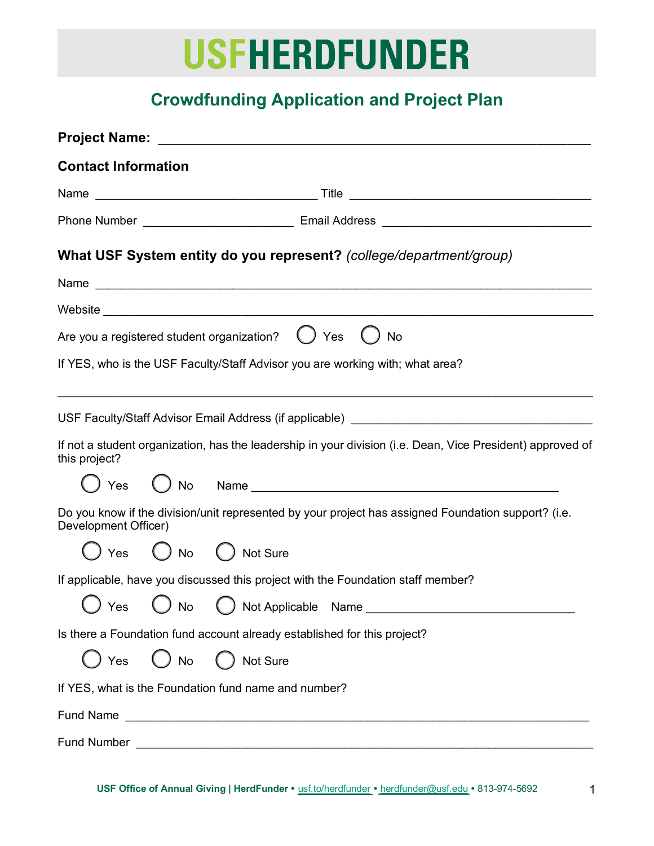# **USFHERDFUNDER**

# **Crowdfunding Application and Project Plan**

| <b>Contact Information</b>                                                                                                  |  |  |  |  |  |  |  |  |
|-----------------------------------------------------------------------------------------------------------------------------|--|--|--|--|--|--|--|--|
|                                                                                                                             |  |  |  |  |  |  |  |  |
|                                                                                                                             |  |  |  |  |  |  |  |  |
| What USF System entity do you represent? (college/department/group)                                                         |  |  |  |  |  |  |  |  |
|                                                                                                                             |  |  |  |  |  |  |  |  |
|                                                                                                                             |  |  |  |  |  |  |  |  |
| Are you a registered student organization? $\bigcup$ Yes<br><b>No</b>                                                       |  |  |  |  |  |  |  |  |
| If YES, who is the USF Faculty/Staff Advisor you are working with; what area?                                               |  |  |  |  |  |  |  |  |
|                                                                                                                             |  |  |  |  |  |  |  |  |
|                                                                                                                             |  |  |  |  |  |  |  |  |
| If not a student organization, has the leadership in your division (i.e. Dean, Vice President) approved of<br>this project? |  |  |  |  |  |  |  |  |
| Ves O No Name                                                                                                               |  |  |  |  |  |  |  |  |
| Do you know if the division/unit represented by your project has assigned Foundation support? (i.e.<br>Development Officer) |  |  |  |  |  |  |  |  |
| ) Yes ( ) No ( ) Not Sure                                                                                                   |  |  |  |  |  |  |  |  |
| If applicable, have you discussed this project with the Foundation staff member?                                            |  |  |  |  |  |  |  |  |
|                                                                                                                             |  |  |  |  |  |  |  |  |
| Is there a Foundation fund account already established for this project?                                                    |  |  |  |  |  |  |  |  |
| $\bigcup$ No<br>)Yes<br>( ) Not Sure                                                                                        |  |  |  |  |  |  |  |  |
| If YES, what is the Foundation fund name and number?                                                                        |  |  |  |  |  |  |  |  |
|                                                                                                                             |  |  |  |  |  |  |  |  |
| <b>Fund Number</b><br><u> 1980 - Johann Barbara, martxa alemaniar amerikan basar da a</u>                                   |  |  |  |  |  |  |  |  |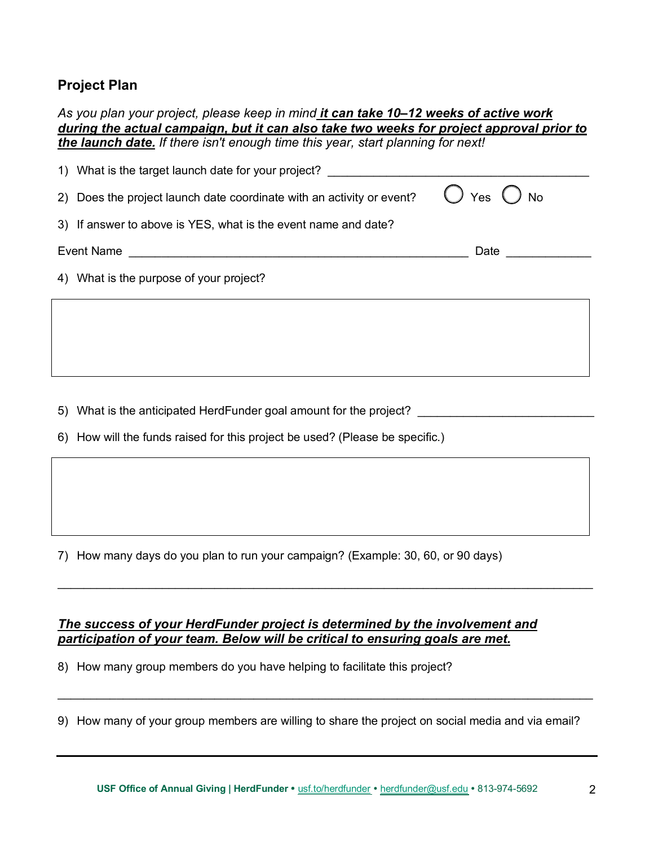# **Project Plan**

| As you plan your project, please keep in mind it can take 10-12 weeks of active work     |  |  |  |  |
|------------------------------------------------------------------------------------------|--|--|--|--|
| during the actual campaign, but it can also take two weeks for project approval prior to |  |  |  |  |
| the launch date. If there isn't enough time this year, start planning for next!          |  |  |  |  |

|            | 1) What is the target launch date for your project?                   |                              |  |
|------------|-----------------------------------------------------------------------|------------------------------|--|
|            | 2) Does the project launch date coordinate with an activity or event? | $\bigcirc$ Yes $\bigcirc$ No |  |
|            | 3) If answer to above is YES, what is the event name and date?        |                              |  |
| Event Name |                                                                       | Date                         |  |
|            | 4) What is the purpose of your project?                               |                              |  |
|            |                                                                       |                              |  |

5) What is the anticipated HerdFunder goal amount for the project? \_\_\_\_\_\_\_\_\_\_\_\_\_

6) How will the funds raised for this project be used? (Please be specific.)

7) How many days do you plan to run your campaign? (Example: 30, 60, or 90 days)

# *The success of your HerdFunder project is determined by the involvement and participation of your team. Below will be critical to ensuring goals are met.*

8) How many group members do you have helping to facilitate this project?

9) How many of your group members are willing to share the project on social media and via email?

\_\_\_\_\_\_\_\_\_\_\_\_\_\_\_\_\_\_\_\_\_\_\_\_\_\_\_\_\_\_\_\_\_\_\_\_\_\_\_\_\_\_\_\_\_\_\_\_\_\_\_\_\_\_\_\_\_\_\_\_\_\_\_\_\_\_\_\_\_\_\_\_\_\_\_\_\_\_\_\_\_\_

 $\mathcal{L}_\mathcal{L} = \mathcal{L}_\mathcal{L} = \mathcal{L}_\mathcal{L} = \mathcal{L}_\mathcal{L} = \mathcal{L}_\mathcal{L} = \mathcal{L}_\mathcal{L} = \mathcal{L}_\mathcal{L} = \mathcal{L}_\mathcal{L} = \mathcal{L}_\mathcal{L} = \mathcal{L}_\mathcal{L} = \mathcal{L}_\mathcal{L} = \mathcal{L}_\mathcal{L} = \mathcal{L}_\mathcal{L} = \mathcal{L}_\mathcal{L} = \mathcal{L}_\mathcal{L} = \mathcal{L}_\mathcal{L} = \mathcal{L}_\mathcal{L}$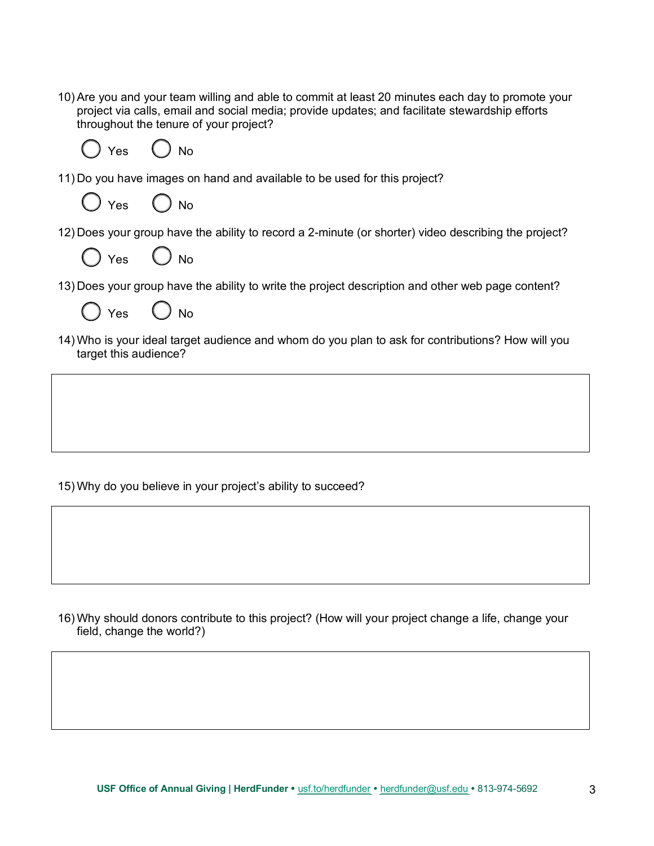10) Are you and your team willing and able to commit at least 20 minutes each day to promote your project via calls, email and social media; provide updates; and facilitate stewardship efforts throughout the tenure of your project?



11) Do you have images on hand and available to be used for this project?



12) Does your group have the ability to record a 2-minute (or shorter) video describing the project?



13) Does your group have the ability to write the project description and other web page content?



14) Who is your ideal target audience and whom do you plan to ask for contributions? How will you target this audience?

15) Why do you believe in your project's ability to succeed?

16) Why should donors contribute to this project? (How will your project change a life, change your field, change the world?)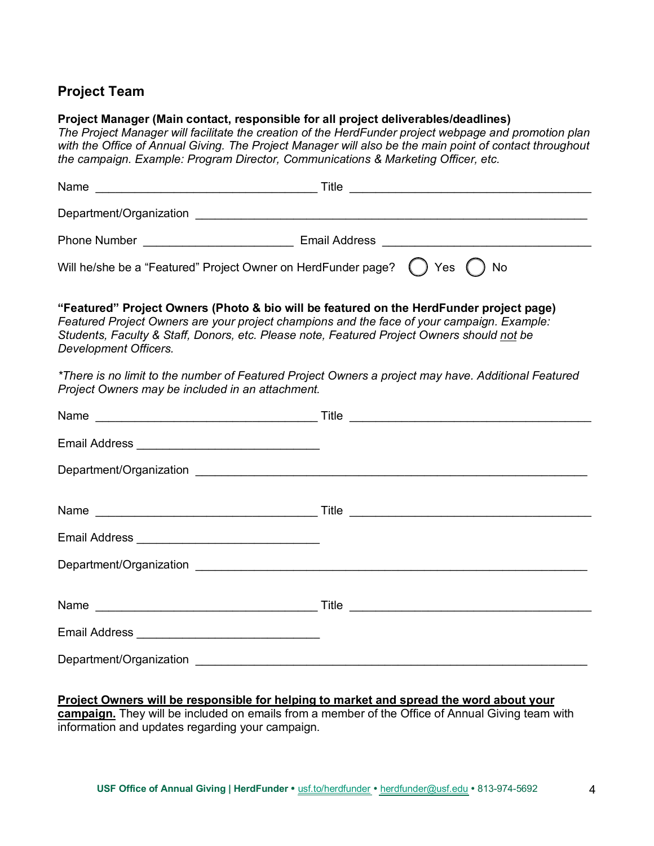# **Project Team**

## **Project Manager (Main contact, responsible for all project deliverables/deadlines)**

*The Project Manager will facilitate the creation of the HerdFunder project webpage and promotion plan with the Office of Annual Giving. The Project Manager will also be the main point of contact throughout the campaign. Example: Program Director, Communications & Marketing Officer, etc.*

| Name<br><u> 1980 - Johann Barbara, martxa alemaniar amerikan basar da a</u>                                                                                                                                                                                                                                  | Title<br><u> 1989 - Johann John Stein, mars ar yw i ganrif y cynnwys y cynnwys y cynnwys y cynnwys y cynnwys y cynnwys y c</u> |  |  |  |  |
|--------------------------------------------------------------------------------------------------------------------------------------------------------------------------------------------------------------------------------------------------------------------------------------------------------------|--------------------------------------------------------------------------------------------------------------------------------|--|--|--|--|
|                                                                                                                                                                                                                                                                                                              |                                                                                                                                |  |  |  |  |
|                                                                                                                                                                                                                                                                                                              |                                                                                                                                |  |  |  |  |
| Will he/she be a "Featured" Project Owner on HerdFunder page? () Yes                                                                                                                                                                                                                                         | No                                                                                                                             |  |  |  |  |
| "Featured" Project Owners (Photo & bio will be featured on the HerdFunder project page)<br>Featured Project Owners are your project champions and the face of your campaign. Example:<br>Students, Faculty & Staff, Donors, etc. Please note, Featured Project Owners should not be<br>Development Officers. |                                                                                                                                |  |  |  |  |
| *There is no limit to the number of Featured Project Owners a project may have. Additional Featured<br>Project Owners may be included in an attachment.                                                                                                                                                      |                                                                                                                                |  |  |  |  |
|                                                                                                                                                                                                                                                                                                              |                                                                                                                                |  |  |  |  |
|                                                                                                                                                                                                                                                                                                              |                                                                                                                                |  |  |  |  |
|                                                                                                                                                                                                                                                                                                              |                                                                                                                                |  |  |  |  |
|                                                                                                                                                                                                                                                                                                              |                                                                                                                                |  |  |  |  |
|                                                                                                                                                                                                                                                                                                              |                                                                                                                                |  |  |  |  |
|                                                                                                                                                                                                                                                                                                              |                                                                                                                                |  |  |  |  |
|                                                                                                                                                                                                                                                                                                              |                                                                                                                                |  |  |  |  |
|                                                                                                                                                                                                                                                                                                              |                                                                                                                                |  |  |  |  |

Department/Organization \_\_\_\_\_\_\_\_\_\_\_\_\_\_\_\_\_\_\_\_\_\_\_\_\_\_\_\_\_\_\_\_\_\_\_\_\_\_\_\_\_\_\_\_\_\_\_\_\_\_\_\_\_\_\_\_\_\_\_\_

**Project Owners will be responsible for helping to market and spread the word about your campaign.** They will be included on emails from a member of the Office of Annual Giving team with

information and updates regarding your campaign.